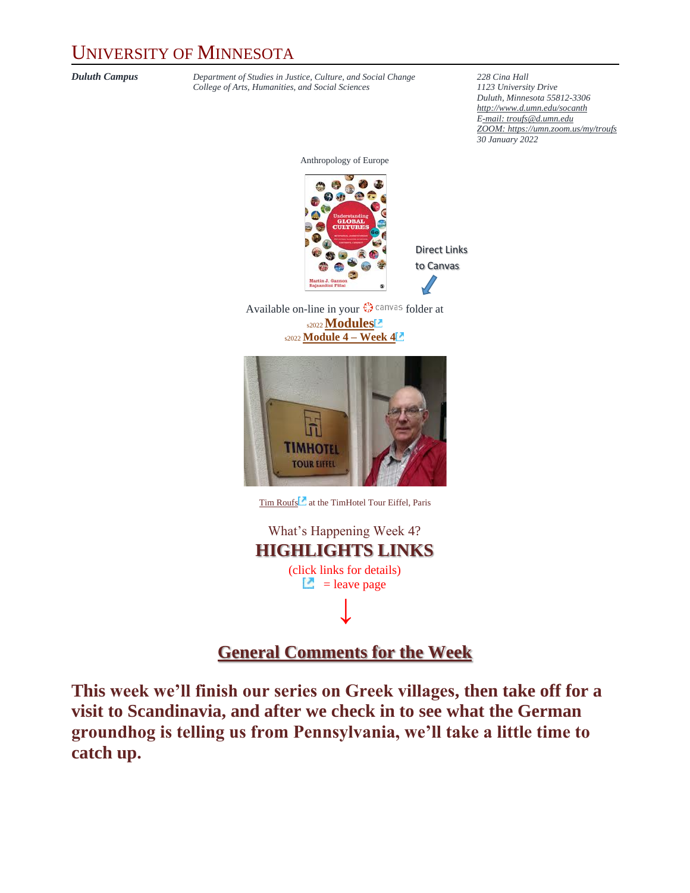## UNIVERSITY OF MINNESOTA

*Duluth Campus Department of Studies in Justice, Culture, and Social Change* **228** *Cina Hall College of Arts, Humanities, and Social Sciences 1123 University Drive*  $College$  of Arts, Humanities, and Social Sciences

*Duluth, Minnesota 55812-3306 <http://www.d.umn.edu/socanth> E-mail: [troufs@d.umn.edu](mailto:troufs@d.umn.edu) ZOOM[: https://umn.zoom.us/my/troufs](https://umn.zoom.us/my/troufs) 30 January 2022*

Anthropology of Europe



Direct Links to Canvas

Available on-line in your  $\mathbb{Q}^*$  canvas folder at s2022**[Modules](https://canvas.umn.edu/courses/282731/modules/945838)** s2022 **[Module 4](https://canvas.umn.edu/courses/282731/modules/945916) – Week 4**



[Tim Roufs](http://www.d.umn.edu/~troufs/#title)<sup>2</sup> at the TimHotel Tour Eiffel, Paris

What's Happening Week 4? **HIGHLIGHTS LINKS** (click links for details)  $\Box$  = leave page **↓**

#### **[General Comments for the Week](#page-3-0)**

**This week we'll finish our series on Greek villages, then take off for a visit to Scandinavia, and after we check in to see what the German groundhog is telling us from Pennsylvania, we'll take a little time to catch up.**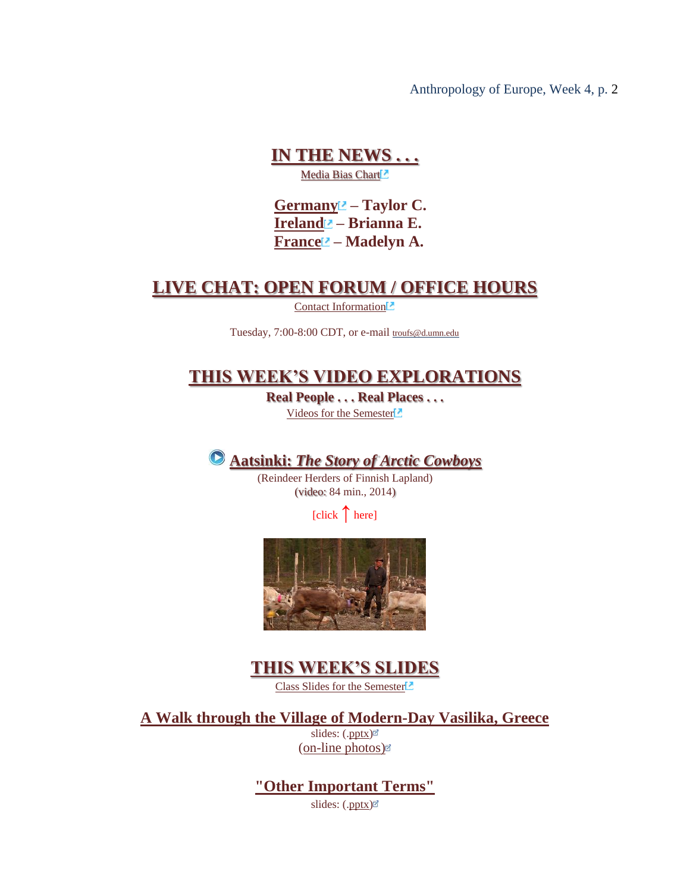#### **[IN THE NEWS . . .](#page-4-0)** Media Bias Chart<sup>2</sup>

**[Germany](https://www.d.umn.edu/cla/faculty/troufs/anth1095/Germany.html#project_sources) – Taylor C. [Ireland](https://www.d.umn.edu/cla/faculty/troufs/anth1095/Ireland.html#project_sources) – Brianna E. [France](https://www.d.umn.edu/cla/faculty/troufs/anth1095/France.html#project_sources)** $\blacksquare$  – **Madelyn A.** 

#### **[LIVE CHAT: OPEN FORUM / OFFICE HOURS](#page-5-0)**

[Contact Information](http://www.d.umn.edu/cla/faculty/troufs/anth1602/pcoffice.html#title)<sup>1</sup>

Tuesday, 7:00-8:00 CDT, or e-mail [troufs@d.umn.edu](mailto:troufs@d.umn.edu)

### **[THIS WEEK'S VIDEO EXPLORATIONS](#page-5-1)**

**Real People . . . Real Places . . .** [Videos for the Semester](https://www.d.umn.edu/cla/faculty/troufs/anth3635/cevideo_schedule.html#title)

### **Aatsinki:** *[The Story of Arctic Cowboys](#page-5-2)*

(Reindeer Herders of Finnish Lapland) (video: 84 min., 2014)

[click **↑** here]



### **[THIS WEEK'S SLIDES](#page-7-0)**

[Class Slides for the Semester](https://www.d.umn.edu/cla/faculty/troufs/anth3635/ceslides.html#title)<sup>1</sup>

**[A Walk through the Village of Modern-Day Vasilika, Greece](#page-7-1)**

slides: ([.pptx\)](https://www.d.umn.edu/cla/faculty/troufs/anth3635/PowerPoint/Vasilika.pptx) [\(on-line photos\)](http://www.d.umn.edu/cla/faculty/troufs/anth3635/Vasilika.html#title)

**["Other Important Terms"](#page-8-0)**

slides: ([.pptx\)](http://www.d.umn.edu/cla/faculty/troufs/anth3635/PowerPoint/ce-terms.pptx)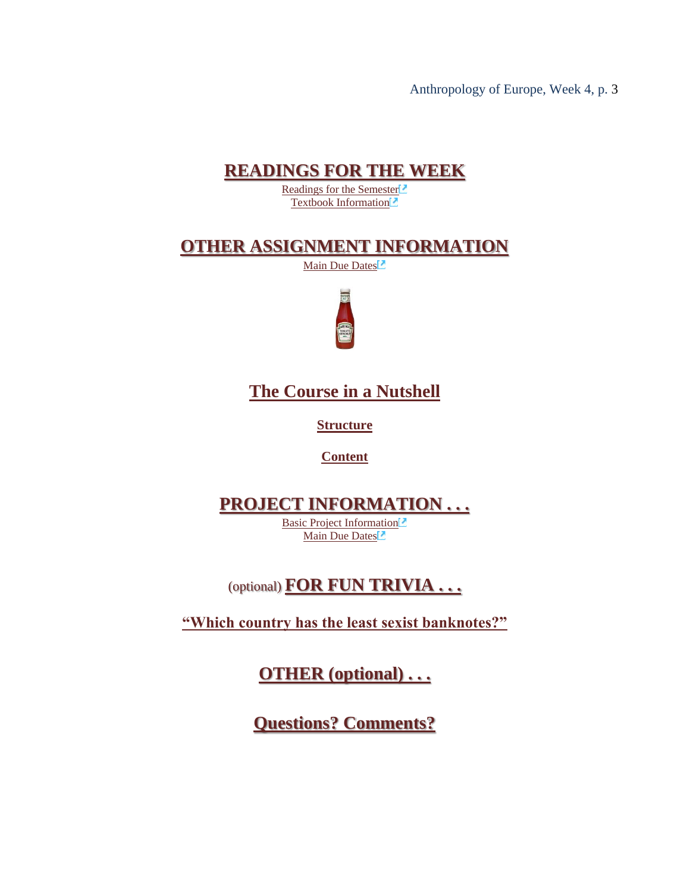### **[READINGS FOR THE WEEK](#page-8-1)**

[Readings for the Semester](https://www.d.umn.edu/cla/faculty/troufs/anth3635/ceread-s.html#title)<sup>[2]</sup> [Textbook Information](https://www.d.umn.edu/cla/faculty/troufs/anth3635/cetexts.html#title)<sup>1</sup>

### **[OTHER ASSIGNMENT INFORMATION](#page-9-0)**

[Main Due Dates](https://www.d.umn.edu/cla/faculty/troufs/anth3635/cedue-dates.html#title)<sup>12</sup>



**[The Course in a Nutshell](#page-10-0)**

**[Structure](#page-10-1)**

**[Content](#page-10-2)**

## **[PROJECT INFORMATION . . .](#page-11-0)**

[Basic Project Information](https://www.d.umn.edu/cla/faculty/troufs/anth3635/ceproject.html#title) [Main Due Dates](https://www.d.umn.edu/cla/faculty/troufs/anth3635/cedue-dates.html#title)<sup>[2]</sup>

(optional) **[FOR FUN TRIVIA . . .](#page-13-0)**

**["Which country has the least sexist banknotes?"](#page-13-0)**

**[OTHER \(optional\) . . .](#page-15-0)**

**[Questions? Comments?](#page-15-0)**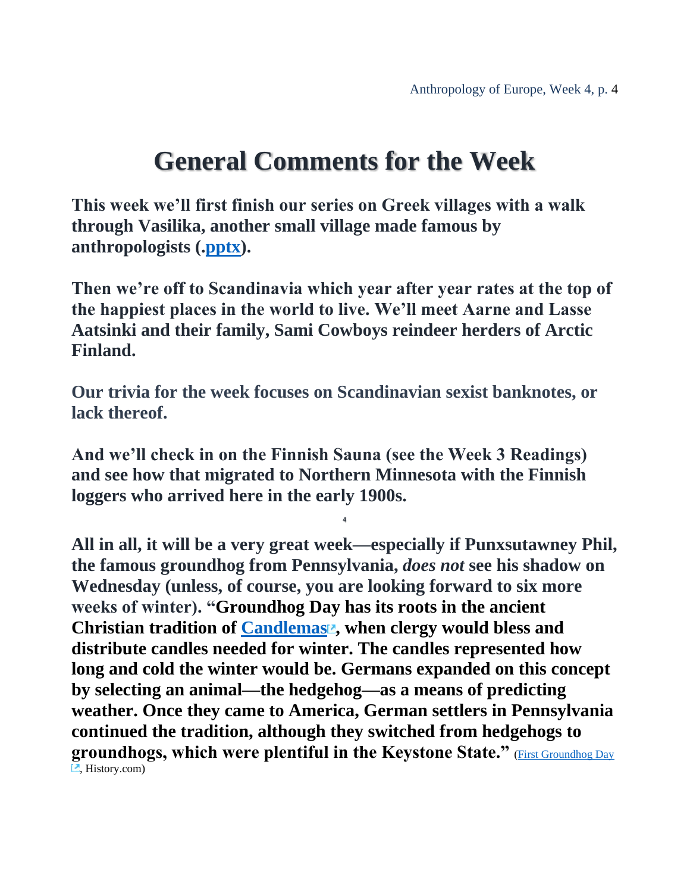## **General Comments for the Week**

<span id="page-3-0"></span>**This week we'll first finish our series on Greek villages with a walk through Vasilika, another small village made famous by anthropologists ([.pptx\)](http://www.d.umn.edu/cla/faculty/troufs/anth3635/PowerPoint/Vasilika.pptx).**

**Then we're off to Scandinavia which year after year rates at the top of the happiest places in the world to live. We'll meet Aarne and Lasse Aatsinki and their family, Sami Cowboys reindeer herders of Arctic Finland.**

**Our trivia for the week focuses on Scandinavian sexist banknotes, or lack thereof.**

**And we'll check in on the Finnish Sauna (see the Week 3 Readings) and see how that migrated to Northern Minnesota with the Finnish loggers who arrived here in the early 1900s.** 

**4**

**All in all, it will be a very great week—especially if Punxsutawney Phil, the famous groundhog from Pennsylvania,** *does not* **see his shadow on Wednesday (unless, of course, you are looking forward to six more weeks of winter). "Groundhog Day has its roots in the ancient Christian tradition of [Candlemas](https://www.history.com/topics/holidays/imbolc) , when clergy would bless and distribute candles needed for winter. The candles represented how long and cold the winter would be. Germans expanded on this concept by selecting an animal—the hedgehog—as a means of predicting weather. Once they came to America, German settlers in Pennsylvania continued the tradition, although they switched from hedgehogs to groundhogs, which were plentiful in the Keystone State."** [\(First Groundhog](https://www.history.com/this-day-in-history/first-groundhog-day) Day  $\Box$ , History.com)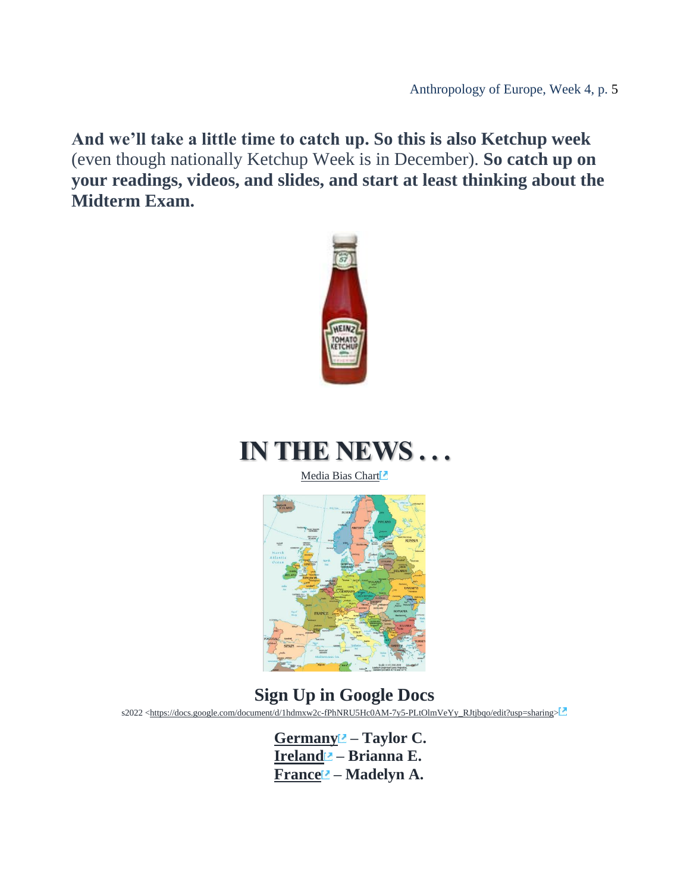**And we'll take a little time to catch up. So this is also Ketchup week** (even though nationally Ketchup Week is in December). **So catch up on your readings, videos, and slides, and start at least thinking about the Midterm Exam.**



# <span id="page-4-0"></span>**IN THE NEWS**

[Media Bias Chart](https://www.d.umn.edu/cla/faculty/troufs/anth4616/cpalternativefacts.html#mediabiaschart)



## **Sign Up in Google Docs**

s2022 [<https://docs.google.com/document/d/1hdmxw2c-fPhNRU5Hc0AM-7y5-PLtOlmVeYy\\_RJtjbqo/edit?usp=sharing>](https://docs.google.com/document/d/1hdmxw2c-fPhNRU5Hc0AM-7y5-PLtOlmVeYy_RJtjbqo/edit?usp=sharing)

**[Germany](https://www.d.umn.edu/cla/faculty/troufs/anth1095/Germany.html#project_sources) – Taylor C. [Ireland](https://www.d.umn.edu/cla/faculty/troufs/anth1095/Ireland.html#project_sources) – Brianna E. [France](https://www.d.umn.edu/cla/faculty/troufs/anth1095/France.html#project_sources) – Madelyn A.**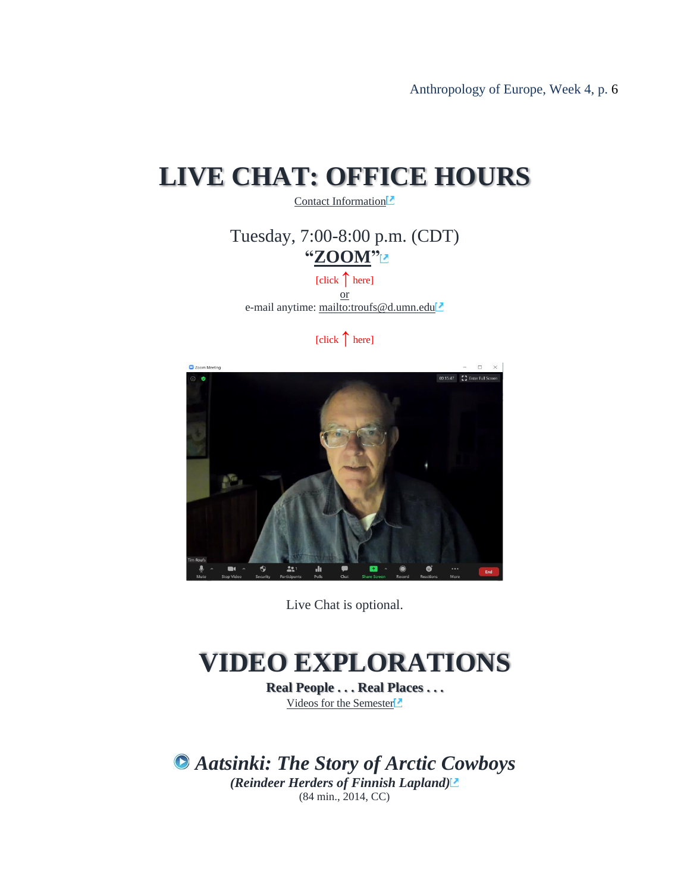# <span id="page-5-0"></span>**LIVE CHAT: OFFICE HOURS**

[Contact Information](http://www.d.umn.edu/cla/faculty/troufs/anth1602/pcoffice.html#title)<sup>[2]</sup>

Tuesday, 7:00-8:00 p.m. (CDT) **["ZOOM"](https://umn.zoom.us/my/troufs)**

[click **↑** here] or e-mail anytime: <mailto:troufs@d.umn.edu>

[click **↑** here]



Live Chat is optional.

## <span id="page-5-1"></span>**VIDEO EXPLORATIONS**

**Real People . . . Real Places . . .** [Videos for the Semester](https://www.d.umn.edu/cla/faculty/troufs/anth3635/cevideo_schedule.html#title)

<span id="page-5-2"></span>*Aatsinki: The Story of Arctic Cowboys (Reindeer Herders of Finnish Lapland)* (84 min., 2014, CC)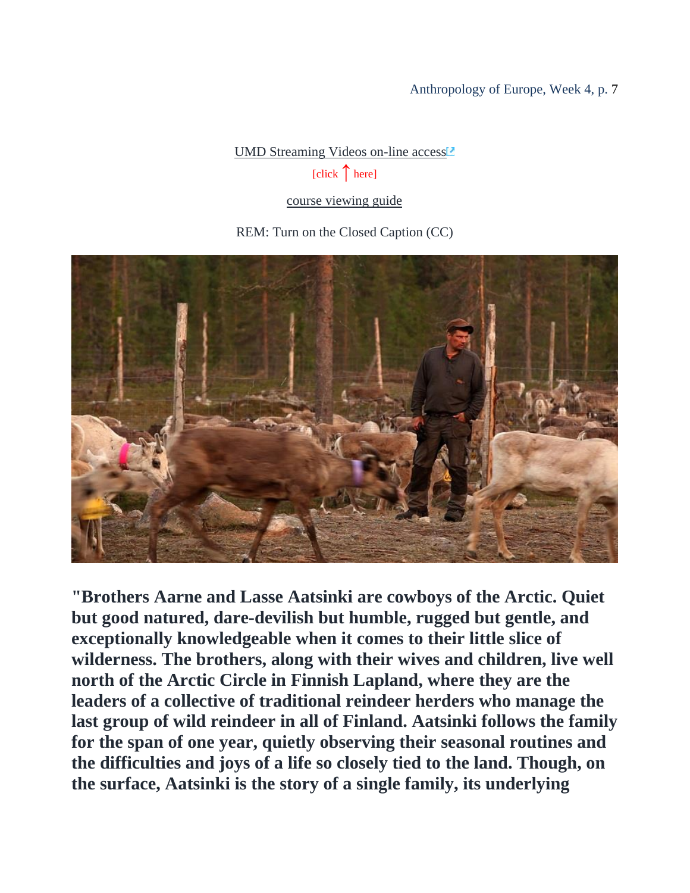## [UMD Streaming Videos on-line access](https://primo.lib.umn.edu/primo-explore/fulldisplay?docid=UMN_ALMA51649521500001701&context=L&vid=DULUTH&lang=en_US&tab=blended&query=sub,contains,finland,AND&sortby=date&facet=tlevel,include,online_resources$$IDULUTH&mode=advanced&pfilter=pfilter,exact,video,AND&offset=0)<sup>1</sup>

[click **↑**here]

#### [course viewing guide](https://www.d.umn.edu/cla/faculty/troufs/anth1095/video/Aatsinki.html#title)

REM: Turn on the Closed Caption (CC)



**"Brothers Aarne and Lasse Aatsinki are cowboys of the Arctic. Quiet but good natured, dare-devilish but humble, rugged but gentle, and exceptionally knowledgeable when it comes to their little slice of wilderness. The brothers, along with their wives and children, live well north of the Arctic Circle in Finnish Lapland, where they are the leaders of a collective of traditional reindeer herders who manage the last group of wild reindeer in all of Finland. Aatsinki follows the family for the span of one year, quietly observing their seasonal routines and the difficulties and joys of a life so closely tied to the land. Though, on the surface, Aatsinki is the story of a single family, its underlying**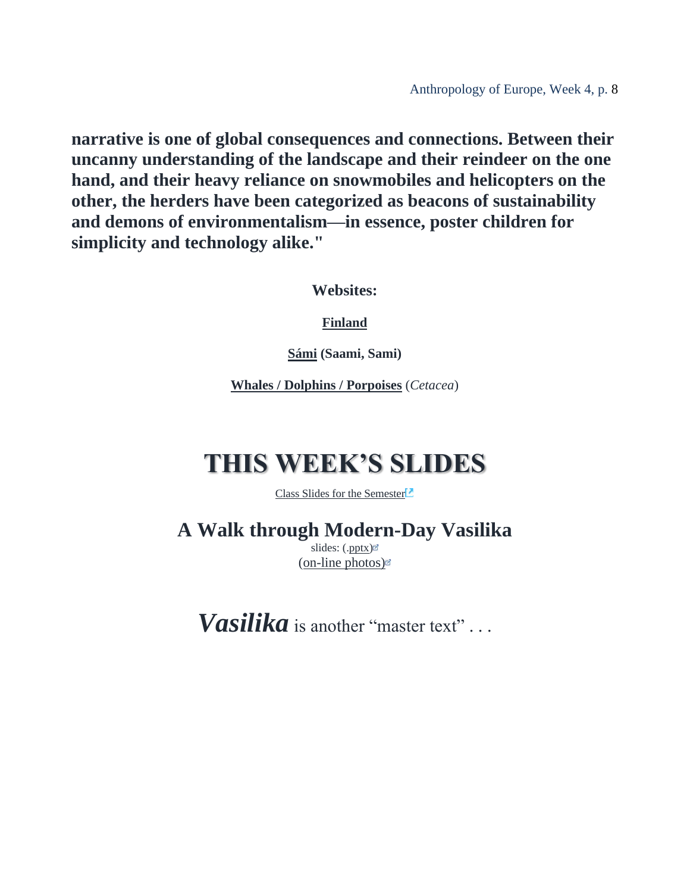**narrative is one of global consequences and connections. Between their uncanny understanding of the landscape and their reindeer on the one hand, and their heavy reliance on snowmobiles and helicopters on the other, the herders have been categorized as beacons of sustainability and demons of environmentalism—in essence, poster children for simplicity and technology alike."**

**Websites:**

**[Finland](http://www.d.umn.edu/cla/faculty/troufs/anth1095/Finland.html#title)**

**[Sámi](https://www.d.umn.edu/cla/faculty/troufs/anth1604/Sami.html#title) (Saami, Sami)**

**Whales / Dolphins / [Porpoises](http://www.d.umn.edu/cla/faculty/troufs/anthfood/afwhales.html#title)** (*[Cetacea](https://en.wikipedia.org/wiki/Cetacea)*)

# <span id="page-7-0"></span>**THIS WEEK'S SLIDES**

[Class Slides for the Semester](https://www.d.umn.edu/cla/faculty/troufs/anth3635/ceslides.html#title)

<span id="page-7-1"></span>**A Walk through Modern-Day Vasilika**

slides: ([.pptx\)](https://www.d.umn.edu/cla/faculty/troufs/anth3635/PowerPoint/Vasilika.pptx) [\(on-line photos\)](http://www.d.umn.edu/cla/faculty/troufs/anth3635/Vasilika.html#title)

*Vasilika* is another "master text" . . .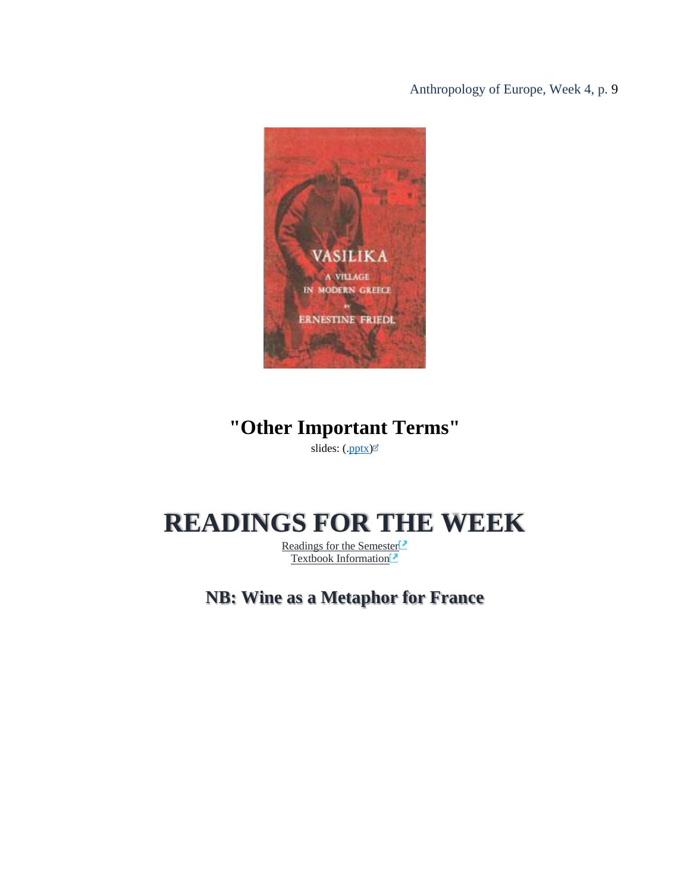

## **"Other Important Terms"**

slides: ([.pptx\)](http://www.d.umn.edu/cla/faculty/troufs/anth3635/PowerPoint/ce-terms.pptx)

## <span id="page-8-1"></span><span id="page-8-0"></span>**READINGS FOR THE WEEK**

[Readings for the Semester](https://www.d.umn.edu/cla/faculty/troufs/anth3635/ceread-s.html#title)<sup>[2]</sup> [Textbook Information](https://www.d.umn.edu/cla/faculty/troufs/anth3635/cetexts.html#title)<sup>[2]</sup>

**NB: Wine as a Metaphor for France**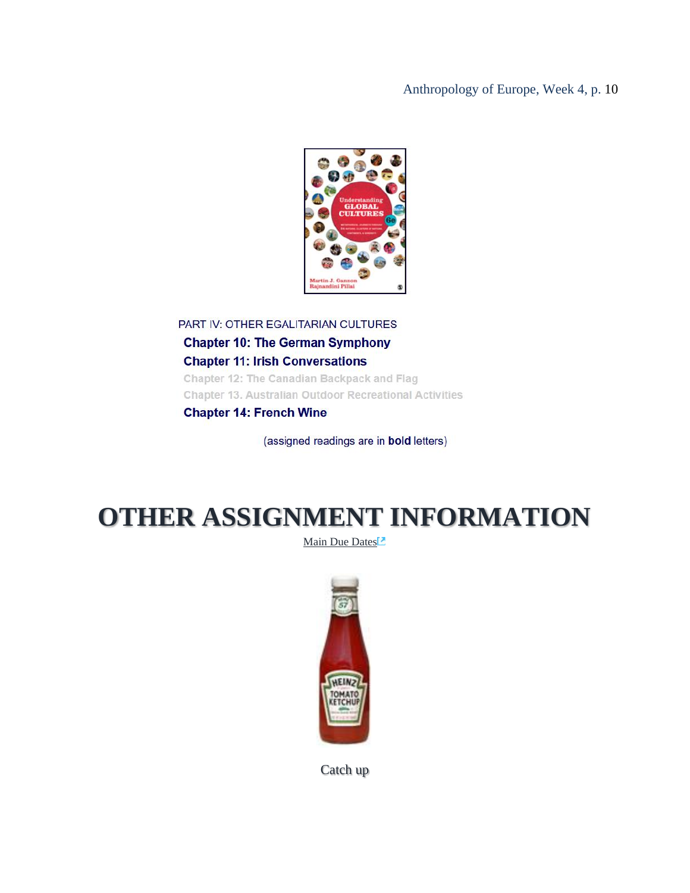

PART IV: OTHER EGALITARIAN CULTURES **Chapter 10: The German Symphony Chapter 11: Irish Conversations** Chapter 12: The Canadian Backpack and Flag **Chapter 13. Australian Outdoor Recreational Activities Chapter 14: French Wine** 

(assigned readings are in bold letters)

# <span id="page-9-0"></span>**OTHER ASSIGNMENT INFORMATION**

[Main Due Dates](https://www.d.umn.edu/cla/faculty/troufs/anth3635/cedue-dates.html#title)



Catch up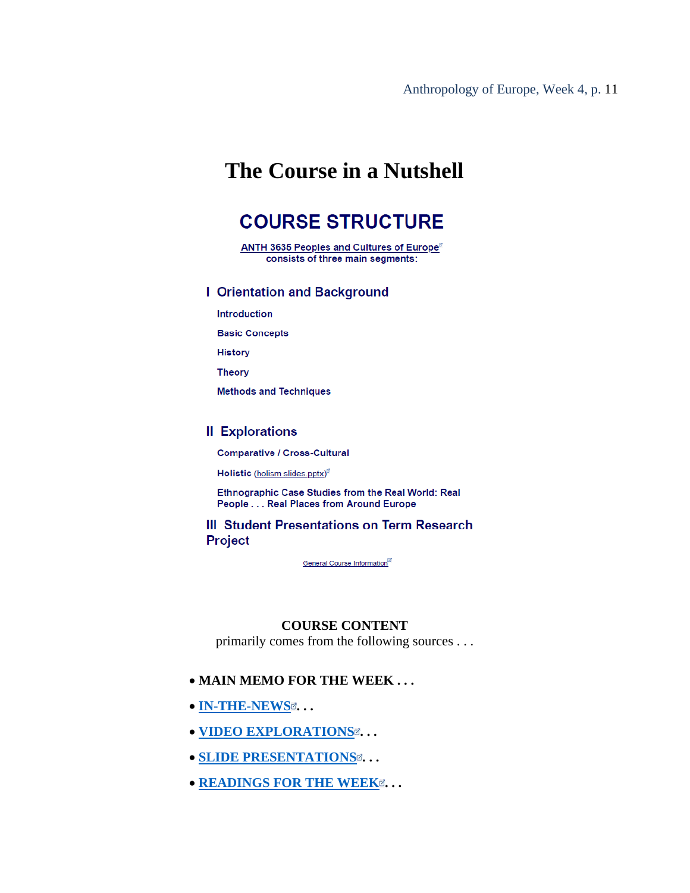## <span id="page-10-1"></span><span id="page-10-0"></span>**The Course in a Nutshell**

## **COURSE STRUCTURE**

ANTH 3635 Peoples and Cultures of Europe<sup>®</sup> consists of three main segments:

#### **I** Orientation and Background

**Introduction** 

**Basic Concepts** 

**History** 

**Theory** 

**Methods and Techniques** 

#### **II Explorations**

**Comparative / Cross-Cultural** 

Holistic (holism slides.pptx)<sup>er</sup>

Ethnographic Case Studies from the Real World: Real People . . . Real Places from Around Europe

#### **III Student Presentations on Term Research Project**

General Course Information<sup>®</sup>

#### **COURSE CONTENT**

primarily comes from the following sources . . .

#### <span id="page-10-2"></span>• **MAIN MEMO FOR THE WEEK . . .**

- **[IN-THE-NEWS](https://www.d.umn.edu/cla/faculty/troufs/anth3635/ce_in_the_news_report.html#title)**  $\alpha$ ...
- $\bullet$  **[VIDEO EXPLORATIONS](https://www.d.umn.edu/cla/faculty/troufs/anth3635/cevideo_schedule.html#title)**  $\alpha$ [.](https://www.d.umn.edu/cla/faculty/troufs/anth3635/cevideo_schedule.html#title)..
- **[SLIDE PRESENTATIONS](http://www.d.umn.edu/cla/faculty/troufs/anth3635/ceslides.html#title)**  $\alpha$ [.](http://www.d.umn.edu/cla/faculty/troufs/anth3635/ceslides.html#title)..
- **[READINGS FOR THE WEEK](https://www.d.umn.edu/cla/faculty/troufs/anth3635/ceread-s.html#title)** $\alpha$ **[.](https://www.d.umn.edu/cla/faculty/troufs/anth3635/ceread-s.html#title)..**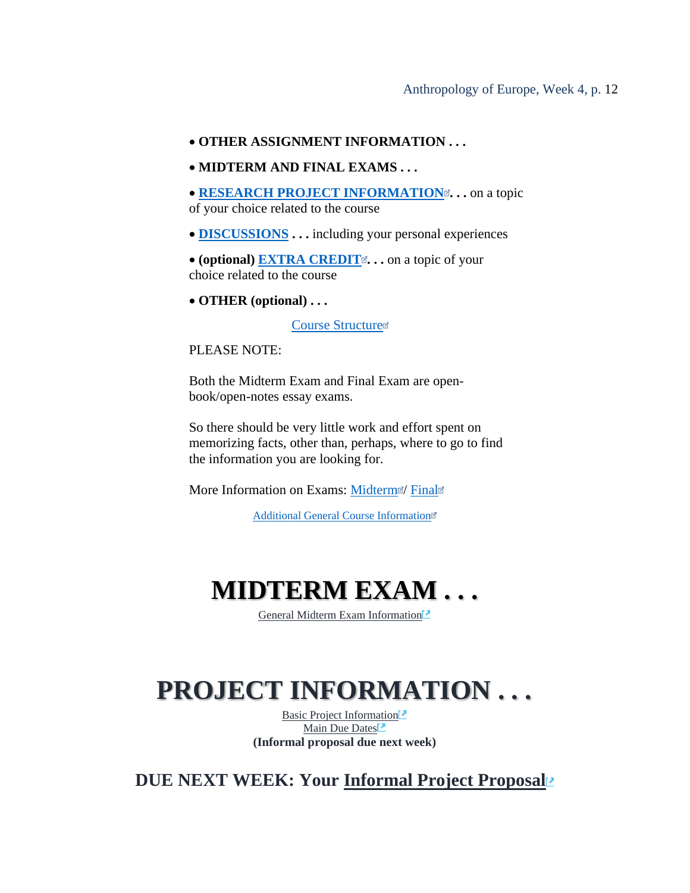#### • **OTHER ASSIGNMENT INFORMATION . . .**

- **MIDTERM AND FINAL EXAMS . . .**
- **[RESEARCH PROJECT INFORMATION](https://www.d.umn.edu/cla/faculty/troufs/anth3635/ceproject.html#title)**  $\alpha$ [.](https://www.d.umn.edu/cla/faculty/troufs/anth3635/ceproject.html#title).. on a topic of your choice related to the course
- **[DISCUSSIONS](https://www.d.umn.edu/cla/faculty/troufs/anth3635/ceforumsamples.html#title) . . .** including your personal experiences
- **(optional) EXTRA CREDIT[.](https://www.d.umn.edu/cla/faculty/troufs/anth3635/ceextracredit.html#title)** . . on a topic of your choice related to the course
- **OTHER (optional) . . .**

[Course Structure](https://www.d.umn.edu/cla/faculty/troufs/anth3635/ceinanutshell.html#structure)

PLEASE NOTE:

Both the Midterm Exam and Final Exam are openbook/open-notes essay exams.

So there should be very little work and effort spent on memorizing facts, other than, perhaps, where to go to find the information you are looking for.

More Information on Exams: [Midterm](https://www.d.umn.edu/cla/faculty/troufs/anth3635/ceexams_midterm.html#title)<sup>®</sup>/ [Final](https://www.d.umn.edu/cla/faculty/troufs/anth3635/ceexams_final.html#title)<sup>®</sup>

[Additional General Course Information](http://www.d.umn.edu/cla/faculty/troufs/anth3635/cecourseinfo.html#title)

## **MIDTERM EXAM . . .**

[General Midterm Exam Information](https://www.d.umn.edu/cla/faculty/troufs/anth3635/ceexams_midterm.html#title)<sup>12</sup>

# <span id="page-11-0"></span>**PROJECT INFORMATION . . .**

[Basic Project Information](https://www.d.umn.edu/cla/faculty/troufs/anth3635/ceproject.html#title)<sup>1</sup> [Main Due Dates](https://www.d.umn.edu/cla/faculty/troufs/anth3635/cedue-dates.html#title)<sup>1</sup> **(Informal proposal due next week)**

**DUE NEXT WEEK: Your [Informal Project Proposal](https://www.d.umn.edu/cla/faculty/troufs/anth3635/ceterm_paper.html#proposal)**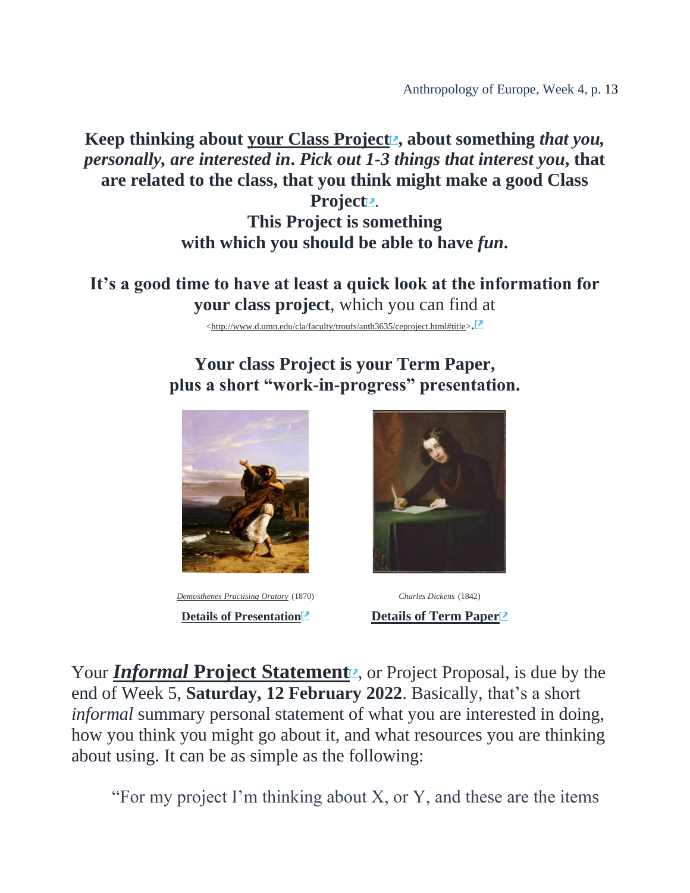**Keep thinking about [your Class Project](http://www.d.umn.edu/cla/faculty/troufs/anth3635/ceproject.html#title) , about something** *that you, personally, are interested in***.** *Pick out 1-3 things that interest you***, that are related to the class, that you think might make a good Class** 

Projectz. **This Project is something with which you should be able to have** *fun***.**

**It's a good time to have at least a quick look at the information for your class project**, which you can find at

[<http://www.d.umn.edu/cla/faculty/troufs/anth3635/ceproject.html#title>](http://www.d.umn.edu/cla/faculty/troufs/anth3635/ceproject.html#title).

### **Your class Project is your Term Paper, plus a short "work-in-progress" presentation.**



*[Demosthenes Practising Oratory](http://en.wikipedia.org/wiki/File:DemosthPracticing.jpg)* (1870) *[Charles Dickens](http://en.wikipedia.org/wiki/File:Francis_Alexander_-_Charles_Dickens_1842.jpeg)* (1842)



**[Details](http://www.d.umn.edu/cla/faculty/troufs/anth3635/ceterm_paper.html#title)** of [Presentation](http://www.d.umn.edu/cla/faculty/troufs/anth3635/cepresentations.html#title)<sup>1</sup> **Details** of Term Paper<sup>12</sup>

Your *Informal* [Project Statement](http://www.d.umn.edu/cla/faculty/troufs/anth3635/ceterm_paper.html#proposal)<sub>2</sub>, or Project Proposal, is due by the end of Week 5, **Saturday, 12 February 2022**. Basically, that's a short *informal* summary personal statement of what you are interested in doing, how you think you might go about it, and what resources you are thinking about using. It can be as simple as the following:

"For my project I'm thinking about X, or Y, and these are the items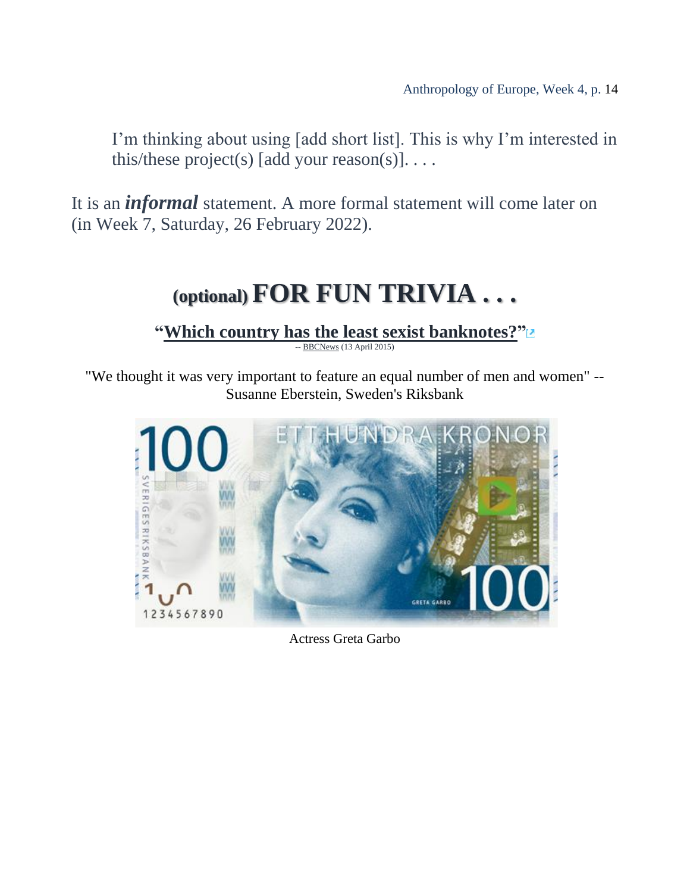I'm thinking about using [add short list]. This is why I'm interested in this/these project(s) [add your reason(s)].  $\dots$ 

<span id="page-13-0"></span>It is an *informal* statement. A more formal statement will come later on (in Week 7, Saturday, 26 February 2022).

# **(optional) FOR FUN TRIVIA . . .**

**["Which country has the least sexist banknotes?"](http://www.bbc.com/news/magazine-32204664?ocid=global_bbccom_email_13042015_magazine)**

-- **[BBCNews](http://www.bbc.com/)** (13 April 2015)

"We thought it was very important to feature an equal number of men and women" -- Susanne Eberstein, Sweden's Riksbank



Actress Greta Garbo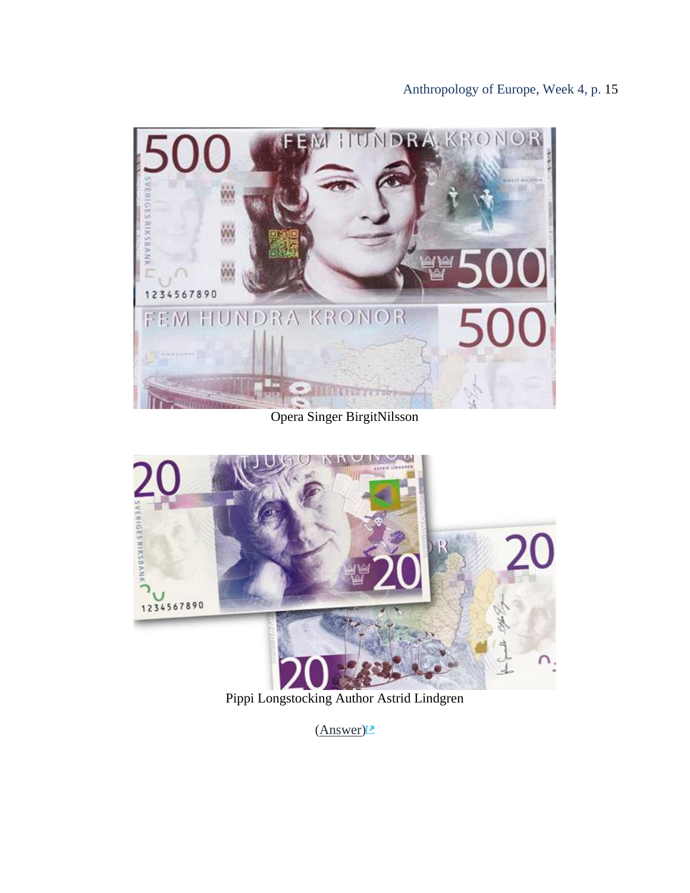

#### Opera Singer BirgitNilsson



Pippi Longstocking Author Astrid Lindgren

[\(Answer\)](https://www.d.umn.edu/cla/faculty/troufs/anth1095/trivia/gctrivia_banknotes.html#answer)